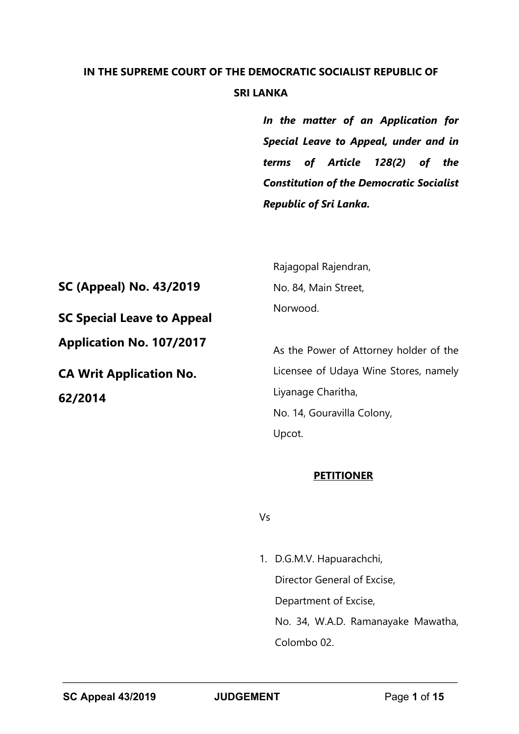# **IN THE SUPREME COURT OF THE DEMOCRATIC SOCIALIST REPUBLIC OF SRI LANKA**

*In the matter of an Application for Special Leave to Appeal, under and in terms of Article 128(2) of the Constitution of the Democratic Socialist Republic of Sri Lanka.*

**SC (Appeal) No. 43/2019 SC Special Leave to Appeal Application No. 107/2017 CA Writ Application No. 62/2014**

Rajagopal Rajendran, No. 84, Main Street, Norwood.

As the Power of Attorney holder of the Licensee of Udaya Wine Stores, namely Liyanage Charitha, No. 14, Gouravilla Colony, Upcot.

#### **PETITIONER**

Vs

1. D.G.M.V. Hapuarachchi, Director General of Excise, Department of Excise, No. 34, W.A.D. Ramanayake Mawatha, Colombo 02.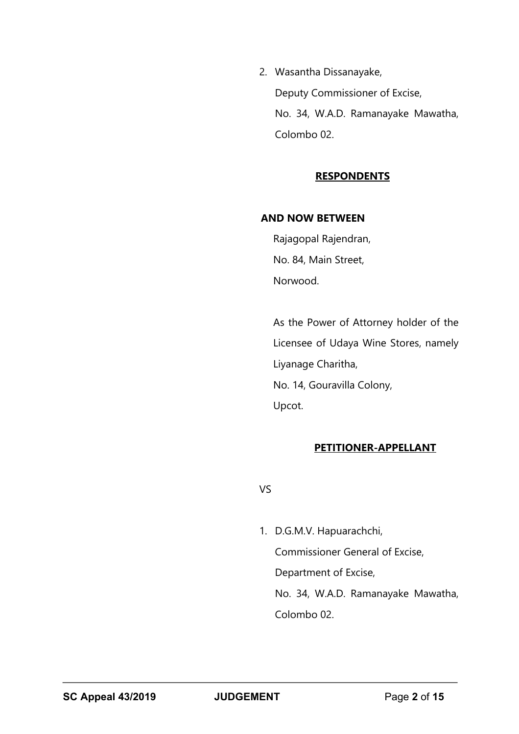2. Wasantha Dissanayake, Deputy Commissioner of Excise, No. 34, W.A.D. Ramanayake Mawatha, Colombo 02.

# **RESPONDENTS**

#### **AND NOW BETWEEN**

Rajagopal Rajendran, No. 84, Main Street, Norwood.

As the Power of Attorney holder of the Licensee of Udaya Wine Stores, namely Liyanage Charitha, No. 14, Gouravilla Colony, Upcot.

# **PETITIONER-APPELLANT**

VS

1. D.G.M.V. Hapuarachchi, Commissioner General of Excise, Department of Excise, No. 34, W.A.D. Ramanayake Mawatha, Colombo 02.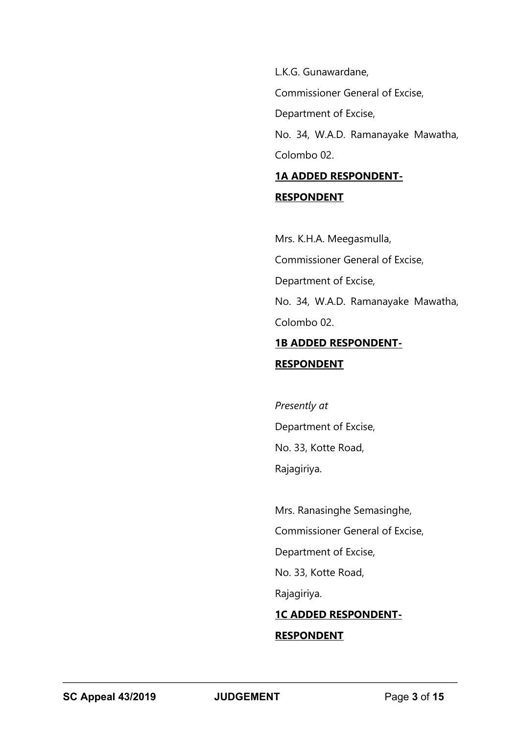L.K.G. Gunawardane,

Commissioner General of Excise,

Department of Excise,

No. 34, W.A.D. Ramanayake Mawatha, Colombo 02.

# **1A ADDED RESPONDENT-RESPONDENT**

Mrs. K.H.A. Meegasmulla, Commissioner General of Excise, Department of Excise, No. 34, W.A.D. Ramanayake Mawatha, Colombo 02.

# **1B ADDED RESPONDENT-**

# **RESPONDENT**

*Presently at*  Department of Excise, No. 33, Kotte Road, Rajagiriya.

Mrs. Ranasinghe Semasinghe, Commissioner General of Excise, Department of Excise, No. 33, Kotte Road, Rajagiriya. **1C ADDED RESPONDENT-**

# **RESPONDENT**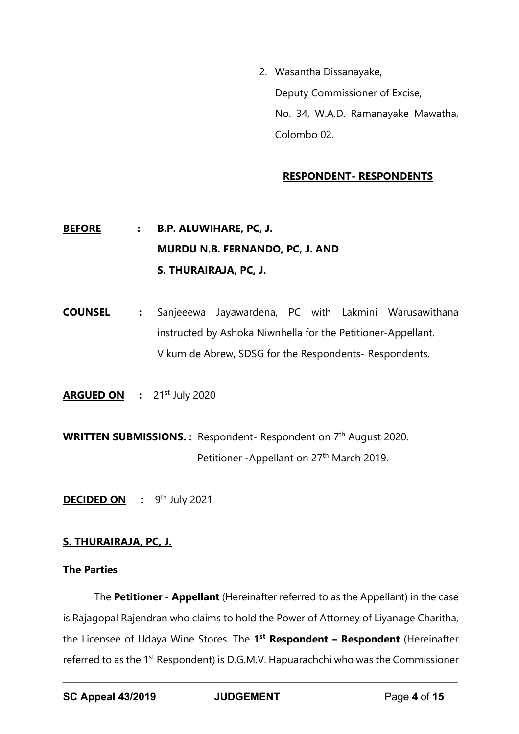2. Wasantha Dissanayake, Deputy Commissioner of Excise, No. 34, W.A.D. Ramanayake Mawatha, Colombo 02.

#### **RESPONDENT- RESPONDENTS**

# **BEFORE : B.P. ALUWIHARE, PC, J. MURDU N.B. FERNANDO, PC, J. AND S. THURAIRAJA, PC, J.**

**COUNSEL :** Sanjeeewa Jayawardena, PC with Lakmini Warusawithana instructed by Ashoka Niwnhella for the Petitioner-Appellant. Vikum de Abrew, SDSG for the Respondents- Respondents.

**ARGUED ON : 21st July 2020** 

**WRITTEN SUBMISSIONS. :** Respondent- Respondent on 7<sup>th</sup> August 2020. Petitioner -Appellant on 27<sup>th</sup> March 2019.

**DECIDED ON** : 9<sup>th</sup> July 2021

# **S. THURAIRAJA, PC, J.**

#### **The Parties**

The **Petitioner - Appellant** (Hereinafter referred to as the Appellant) in the case is Rajagopal Rajendran who claims to hold the Power of Attorney of Liyanage Charitha, the Licensee of Udaya Wine Stores. The **1st Respondent – Respondent** (Hereinafter referred to as the 1st Respondent) is D.G.M.V. Hapuarachchi who was the Commissioner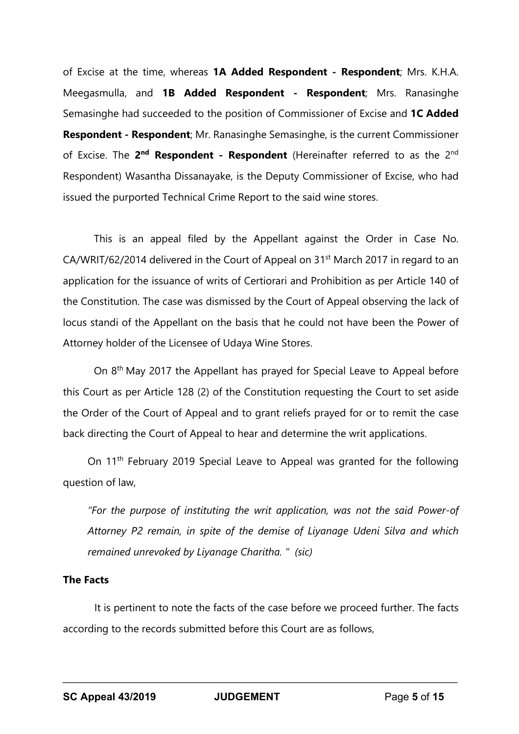of Excise at the time, whereas **1A Added Respondent - Respondent**; Mrs. K.H.A. Meegasmulla, and **1B Added Respondent - Respondent**; Mrs. Ranasinghe Semasinghe had succeeded to the position of Commissioner of Excise and **1C Added Respondent - Respondent**; Mr. Ranasinghe Semasinghe, is the current Commissioner of Excise. The **2nd Respondent - Respondent** (Hereinafter referred to as the 2nd Respondent) Wasantha Dissanayake, is the Deputy Commissioner of Excise, who had issued the purported Technical Crime Report to the said wine stores.

This is an appeal filed by the Appellant against the Order in Case No. CA/WRIT/62/2014 delivered in the Court of Appeal on 31<sup>st</sup> March 2017 in regard to an application for the issuance of writs of Certiorari and Prohibition as per Article 140 of the Constitution. The case was dismissed by the Court of Appeal observing the lack of locus standi of the Appellant on the basis that he could not have been the Power of Attorney holder of the Licensee of Udaya Wine Stores.

On 8<sup>th</sup> May 2017 the Appellant has prayed for Special Leave to Appeal before this Court as per Article 128 (2) of the Constitution requesting the Court to set aside the Order of the Court of Appeal and to grant reliefs prayed for or to remit the case back directing the Court of Appeal to hear and determine the writ applications.

On 11<sup>th</sup> February 2019 Special Leave to Appeal was granted for the following question of law,

*"For the purpose of instituting the writ application, was not the said Power-of Attorney P2 remain, in spite of the demise of Liyanage Udeni Silva and which remained unrevoked by Liyanage Charitha. " (sic)*

# **The Facts**

It is pertinent to note the facts of the case before we proceed further. The facts according to the records submitted before this Court are as follows,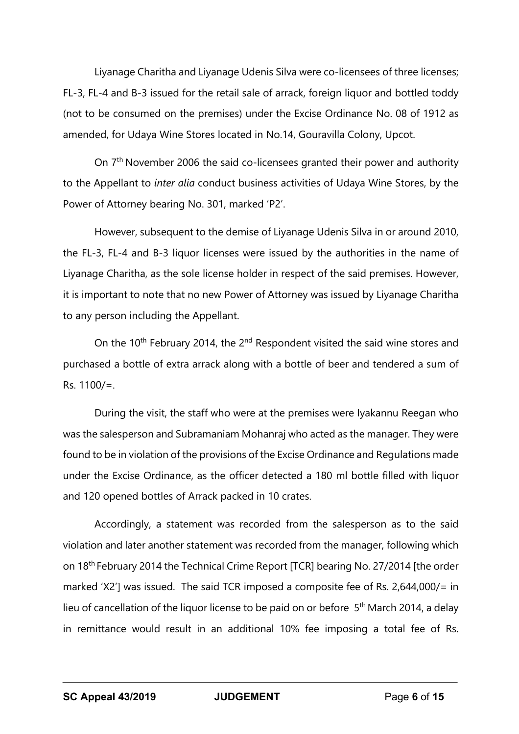Liyanage Charitha and Liyanage Udenis Silva were co-licensees of three licenses; FL-3, FL-4 and B-3 issued for the retail sale of arrack, foreign liquor and bottled toddy (not to be consumed on the premises) under the Excise Ordinance No. 08 of 1912 as amended, for Udaya Wine Stores located in No.14, Gouravilla Colony, Upcot.

On 7th November 2006 the said co-licensees granted their power and authority to the Appellant to *inter alia* conduct business activities of Udaya Wine Stores, by the Power of Attorney bearing No. 301, marked 'P2'.

However, subsequent to the demise of Liyanage Udenis Silva in or around 2010, the FL-3, FL-4 and B-3 liquor licenses were issued by the authorities in the name of Liyanage Charitha, as the sole license holder in respect of the said premises. However, it is important to note that no new Power of Attorney was issued by Liyanage Charitha to any person including the Appellant.

On the 10<sup>th</sup> February 2014, the 2<sup>nd</sup> Respondent visited the said wine stores and purchased a bottle of extra arrack along with a bottle of beer and tendered a sum of Rs. 1100/=.

During the visit, the staff who were at the premises were Iyakannu Reegan who was the salesperson and Subramaniam Mohanraj who acted as the manager. They were found to be in violation of the provisions of the Excise Ordinance and Regulations made under the Excise Ordinance, as the officer detected a 180 ml bottle filled with liquor and 120 opened bottles of Arrack packed in 10 crates.

Accordingly, a statement was recorded from the salesperson as to the said violation and later another statement was recorded from the manager, following which on 18th February 2014 the Technical Crime Report [TCR] bearing No. 27/2014 [the order marked 'X2'] was issued. The said TCR imposed a composite fee of Rs. 2,644,000/= in lieu of cancellation of the liquor license to be paid on or before 5<sup>th</sup> March 2014, a delay in remittance would result in an additional 10% fee imposing a total fee of Rs.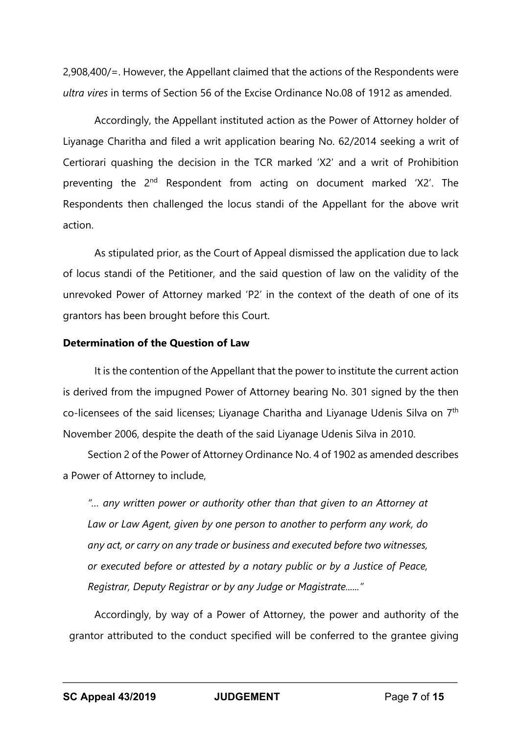2,908,400/=. However, the Appellant claimed that the actions of the Respondents were *ultra vires* in terms of Section 56 of the Excise Ordinance No.08 of 1912 as amended.

Accordingly, the Appellant instituted action as the Power of Attorney holder of Liyanage Charitha and filed a writ application bearing No. 62/2014 seeking a writ of Certiorari quashing the decision in the TCR marked 'X2' and a writ of Prohibition preventing the 2<sup>nd</sup> Respondent from acting on document marked 'X2'. The Respondents then challenged the locus standi of the Appellant for the above writ action.

As stipulated prior, as the Court of Appeal dismissed the application due to lack of locus standi of the Petitioner, and the said question of law on the validity of the unrevoked Power of Attorney marked 'P2' in the context of the death of one of its grantors has been brought before this Court.

#### **Determination of the Question of Law**

It is the contention of the Appellant that the power to institute the current action is derived from the impugned Power of Attorney bearing No. 301 signed by the then co-licensees of the said licenses; Liyanage Charitha and Liyanage Udenis Silva on 7th November 2006, despite the death of the said Liyanage Udenis Silva in 2010.

Section 2 of the Power of Attorney Ordinance No. 4 of 1902 as amended describes a Power of Attorney to include,

*"… any written power or authority other than that given to an Attorney at Law or Law Agent, given by one person to another to perform any work, do any act, or carry on any trade or business and executed before two witnesses, or executed before or attested by a notary public or by a Justice of Peace, Registrar, Deputy Registrar or by any Judge or Magistrate......"* 

Accordingly, by way of a Power of Attorney, the power and authority of the grantor attributed to the conduct specified will be conferred to the grantee giving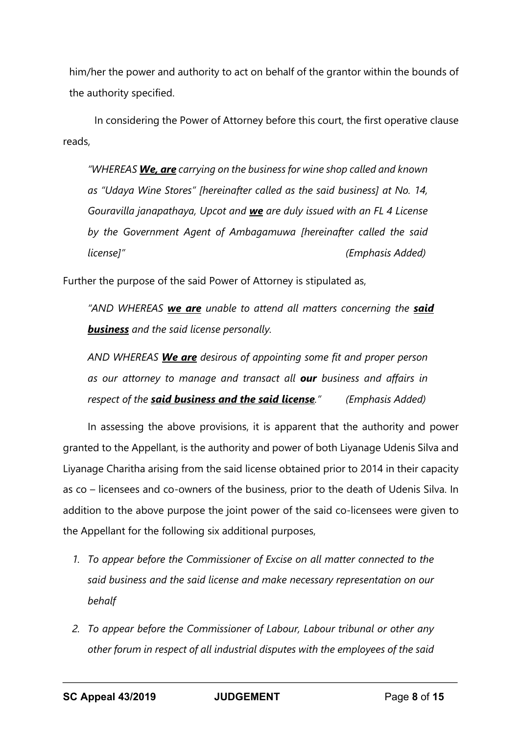him/her the power and authority to act on behalf of the grantor within the bounds of the authority specified.

In considering the Power of Attorney before this court, the first operative clause reads,

*"WHEREAS We, are carrying on the business for wine shop called and known as "Udaya Wine Stores" [hereinafter called as the said business] at No. 14, Gouravilla janapathaya, Upcot and we are duly issued with an FL 4 License by the Government Agent of Ambagamuwa [hereinafter called the said license]" (Emphasis Added)*

Further the purpose of the said Power of Attorney is stipulated as,

*"AND WHEREAS we are unable to attend all matters concerning the said business and the said license personally.*

*AND WHEREAS We are desirous of appointing some fit and proper person as our attorney to manage and transact all our business and affairs in respect of the said business and the said license." (Emphasis Added)*

In assessing the above provisions, it is apparent that the authority and power granted to the Appellant, is the authority and power of both Liyanage Udenis Silva and Liyanage Charitha arising from the said license obtained prior to 2014 in their capacity as co – licensees and co-owners of the business, prior to the death of Udenis Silva. In addition to the above purpose the joint power of the said co-licensees were given to the Appellant for the following six additional purposes,

- *1. To appear before the Commissioner of Excise on all matter connected to the said business and the said license and make necessary representation on our behalf*
- *2. To appear before the Commissioner of Labour, Labour tribunal or other any other forum in respect of all industrial disputes with the employees of the said*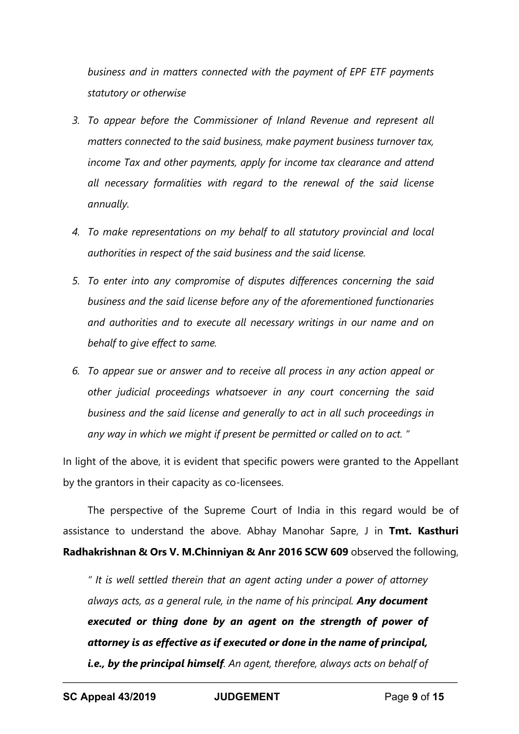*business and in matters connected with the payment of EPF ETF payments statutory or otherwise* 

- *3. To appear before the Commissioner of Inland Revenue and represent all matters connected to the said business, make payment business turnover tax, income Tax and other payments, apply for income tax clearance and attend all necessary formalities with regard to the renewal of the said license annually.*
- *4. To make representations on my behalf to all statutory provincial and local authorities in respect of the said business and the said license.*
- *5. To enter into any compromise of disputes differences concerning the said business and the said license before any of the aforementioned functionaries and authorities and to execute all necessary writings in our name and on behalf to give effect to same.*
- *6. To appear sue or answer and to receive all process in any action appeal or other judicial proceedings whatsoever in any court concerning the said business and the said license and generally to act in all such proceedings in any way in which we might if present be permitted or called on to act. "*

In light of the above, it is evident that specific powers were granted to the Appellant by the grantors in their capacity as co-licensees.

The perspective of the Supreme Court of India in this regard would be of assistance to understand the above. Abhay Manohar Sapre, J in **Tmt. Kasthuri Radhakrishnan & Ors V. M.Chinniyan & Anr 2016 SCW 609** observed the following,

*" It is well settled therein that an agent acting under a power of attorney always acts, as a general rule, in the name of his principal. Any document executed or thing done by an agent on the strength of power of attorney is as effective as if executed or done in the name of principal, i.e., by the principal himself. An agent, therefore, always acts on behalf of*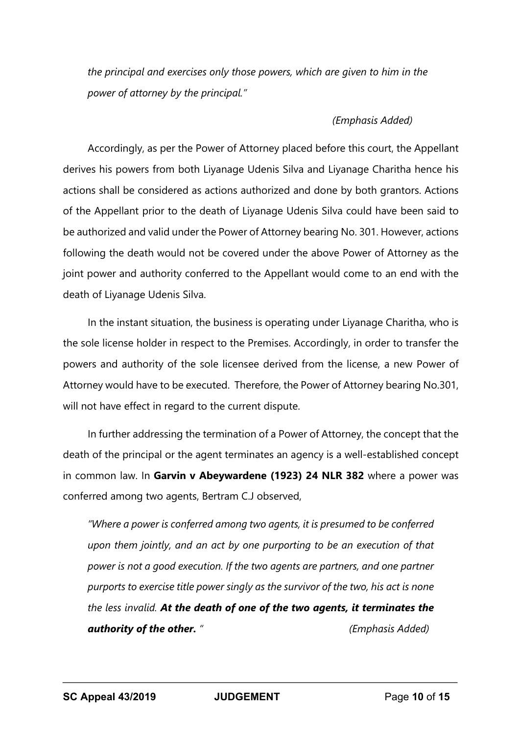*the principal and exercises only those powers, which are given to him in the power of attorney by the principal."* 

#### *(Emphasis Added)*

Accordingly, as per the Power of Attorney placed before this court, the Appellant derives his powers from both Liyanage Udenis Silva and Liyanage Charitha hence his actions shall be considered as actions authorized and done by both grantors. Actions of the Appellant prior to the death of Liyanage Udenis Silva could have been said to be authorized and valid under the Power of Attorney bearing No. 301. However, actions following the death would not be covered under the above Power of Attorney as the joint power and authority conferred to the Appellant would come to an end with the death of Liyanage Udenis Silva.

In the instant situation, the business is operating under Liyanage Charitha, who is the sole license holder in respect to the Premises. Accordingly, in order to transfer the powers and authority of the sole licensee derived from the license, a new Power of Attorney would have to be executed. Therefore, the Power of Attorney bearing No.301, will not have effect in regard to the current dispute.

In further addressing the termination of a Power of Attorney, the concept that the death of the principal or the agent terminates an agency is a well-established concept in common law. In **Garvin v Abeywardene (1923) 24 NLR 382** where a power was conferred among two agents, Bertram C.J observed,

*"Where a power is conferred among two agents, it is presumed to be conferred upon them jointly, and an act by one purporting to be an execution of that power is not a good execution. If the two agents are partners, and one partner purports to exercise title power singly as the survivor of the two, his act is none the less invalid. At the death of one of the two agents, it terminates the authority of the other. " (Emphasis Added)*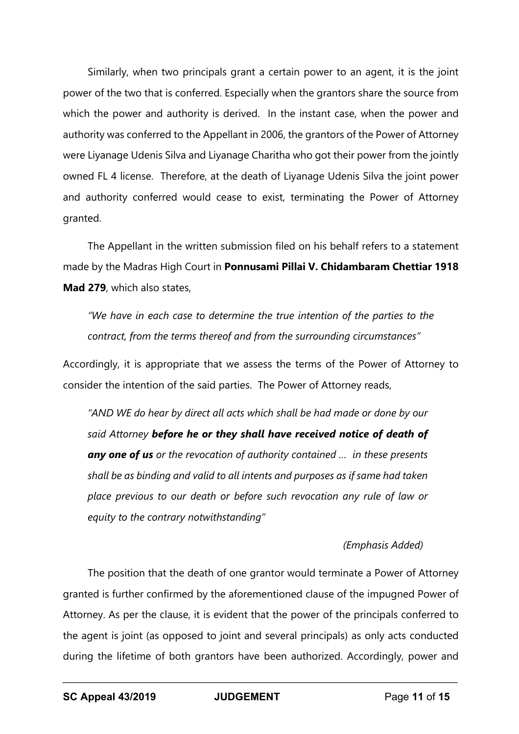Similarly, when two principals grant a certain power to an agent, it is the joint power of the two that is conferred. Especially when the grantors share the source from which the power and authority is derived. In the instant case, when the power and authority was conferred to the Appellant in 2006, the grantors of the Power of Attorney were Liyanage Udenis Silva and Liyanage Charitha who got their power from the jointly owned FL 4 license. Therefore, at the death of Liyanage Udenis Silva the joint power and authority conferred would cease to exist, terminating the Power of Attorney granted.

The Appellant in the written submission filed on his behalf refers to a statement made by the Madras High Court in **Ponnusami Pillai V. Chidambaram Chettiar 1918 Mad 279**, which also states,

*"We have in each case to determine the true intention of the parties to the contract, from the terms thereof and from the surrounding circumstances"* 

Accordingly, it is appropriate that we assess the terms of the Power of Attorney to consider the intention of the said parties. The Power of Attorney reads,

*"AND WE do hear by direct all acts which shall be had made or done by our said Attorney before he or they shall have received notice of death of any one of us or the revocation of authority contained … in these presents shall be as binding and valid to all intents and purposes as if same had taken place previous to our death or before such revocation any rule of law or equity to the contrary notwithstanding"*

# *(Emphasis Added)*

The position that the death of one grantor would terminate a Power of Attorney granted is further confirmed by the aforementioned clause of the impugned Power of Attorney. As per the clause, it is evident that the power of the principals conferred to the agent is joint (as opposed to joint and several principals) as only acts conducted during the lifetime of both grantors have been authorized. Accordingly, power and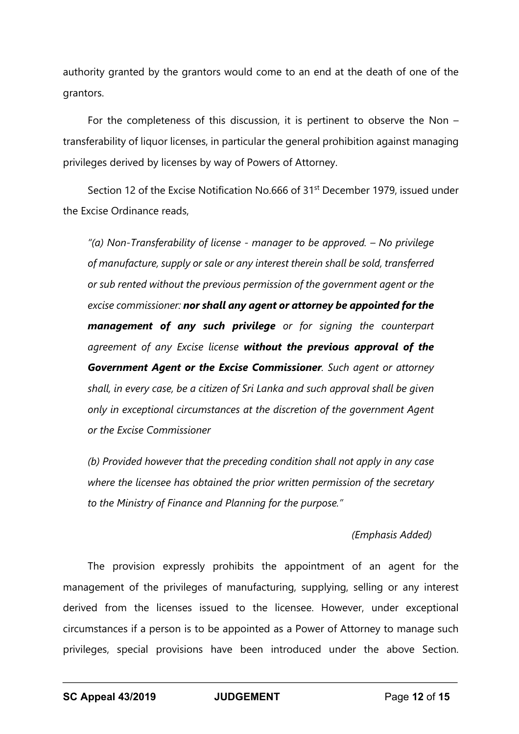authority granted by the grantors would come to an end at the death of one of the grantors.

For the completeness of this discussion, it is pertinent to observe the Non – transferability of liquor licenses, in particular the general prohibition against managing privileges derived by licenses by way of Powers of Attorney.

Section 12 of the Excise Notification No.666 of 31<sup>st</sup> December 1979, issued under the Excise Ordinance reads,

*"(a) Non-Transferability of license - manager to be approved. – No privilege of manufacture, supply or sale or any interest therein shall be sold, transferred or sub rented without the previous permission of the government agent or the excise commissioner: nor shall any agent or attorney be appointed for the management of any such privilege or for signing the counterpart agreement of any Excise license without the previous approval of the Government Agent or the Excise Commissioner. Such agent or attorney shall, in every case, be a citizen of Sri Lanka and such approval shall be given only in exceptional circumstances at the discretion of the government Agent or the Excise Commissioner*

*(b) Provided however that the preceding condition shall not apply in any case where the licensee has obtained the prior written permission of the secretary to the Ministry of Finance and Planning for the purpose."*

# *(Emphasis Added)*

The provision expressly prohibits the appointment of an agent for the management of the privileges of manufacturing, supplying, selling or any interest derived from the licenses issued to the licensee. However, under exceptional circumstances if a person is to be appointed as a Power of Attorney to manage such privileges, special provisions have been introduced under the above Section.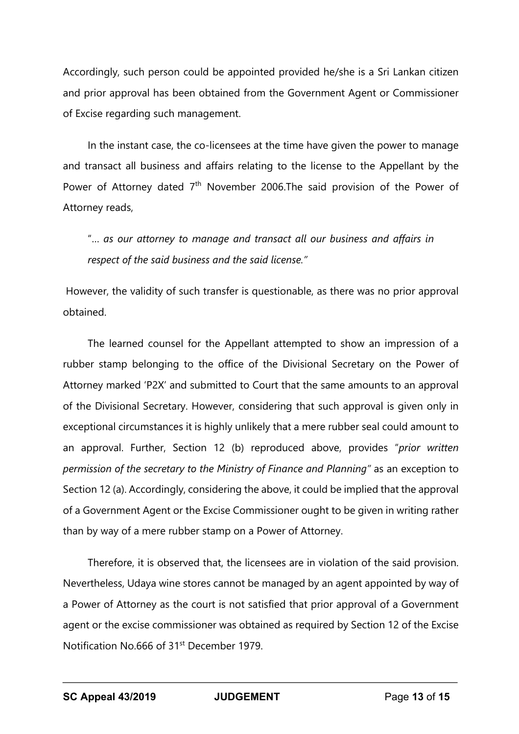Accordingly, such person could be appointed provided he/she is a Sri Lankan citizen and prior approval has been obtained from the Government Agent or Commissioner of Excise regarding such management.

In the instant case, the co-licensees at the time have given the power to manage and transact all business and affairs relating to the license to the Appellant by the Power of Attorney dated  $7<sup>th</sup>$  November 2006. The said provision of the Power of Attorney reads,

"… *as our attorney to manage and transact all our business and affairs in respect of the said business and the said license."*

However, the validity of such transfer is questionable, as there was no prior approval obtained.

The learned counsel for the Appellant attempted to show an impression of a rubber stamp belonging to the office of the Divisional Secretary on the Power of Attorney marked 'P2X' and submitted to Court that the same amounts to an approval of the Divisional Secretary. However, considering that such approval is given only in exceptional circumstances it is highly unlikely that a mere rubber seal could amount to an approval. Further, Section 12 (b) reproduced above, provides "*prior written permission of the secretary to the Ministry of Finance and Planning"* as an exception to Section 12 (a). Accordingly, considering the above, it could be implied that the approval of a Government Agent or the Excise Commissioner ought to be given in writing rather than by way of a mere rubber stamp on a Power of Attorney.

Therefore, it is observed that, the licensees are in violation of the said provision. Nevertheless, Udaya wine stores cannot be managed by an agent appointed by way of a Power of Attorney as the court is not satisfied that prior approval of a Government agent or the excise commissioner was obtained as required by Section 12 of the Excise Notification No.666 of 31st December 1979.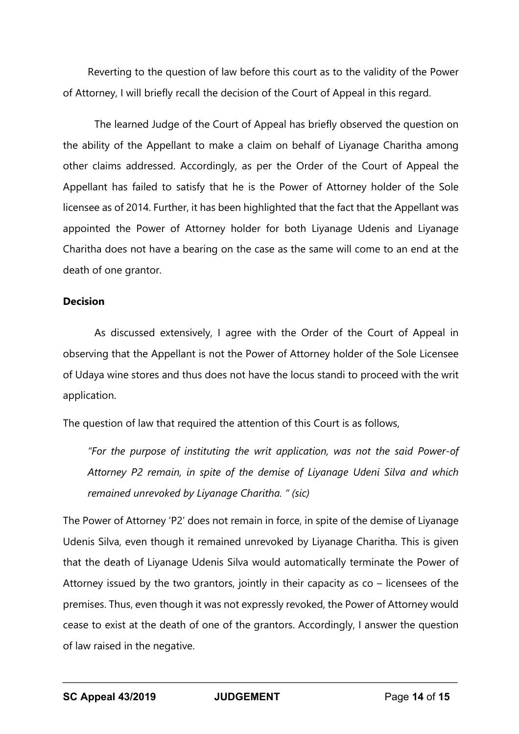Reverting to the question of law before this court as to the validity of the Power of Attorney, I will briefly recall the decision of the Court of Appeal in this regard.

The learned Judge of the Court of Appeal has briefly observed the question on the ability of the Appellant to make a claim on behalf of Liyanage Charitha among other claims addressed. Accordingly, as per the Order of the Court of Appeal the Appellant has failed to satisfy that he is the Power of Attorney holder of the Sole licensee as of 2014. Further, it has been highlighted that the fact that the Appellant was appointed the Power of Attorney holder for both Liyanage Udenis and Liyanage Charitha does not have a bearing on the case as the same will come to an end at the death of one grantor.

#### **Decision**

As discussed extensively, I agree with the Order of the Court of Appeal in observing that the Appellant is not the Power of Attorney holder of the Sole Licensee of Udaya wine stores and thus does not have the locus standi to proceed with the writ application.

The question of law that required the attention of this Court is as follows,

*"For the purpose of instituting the writ application, was not the said Power-of Attorney P2 remain, in spite of the demise of Liyanage Udeni Silva and which remained unrevoked by Liyanage Charitha. " (sic)*

The Power of Attorney 'P2' does not remain in force, in spite of the demise of Liyanage Udenis Silva, even though it remained unrevoked by Liyanage Charitha. This is given that the death of Liyanage Udenis Silva would automatically terminate the Power of Attorney issued by the two grantors, jointly in their capacity as co – licensees of the premises. Thus, even though it was not expressly revoked, the Power of Attorney would cease to exist at the death of one of the grantors. Accordingly, I answer the question of law raised in the negative.